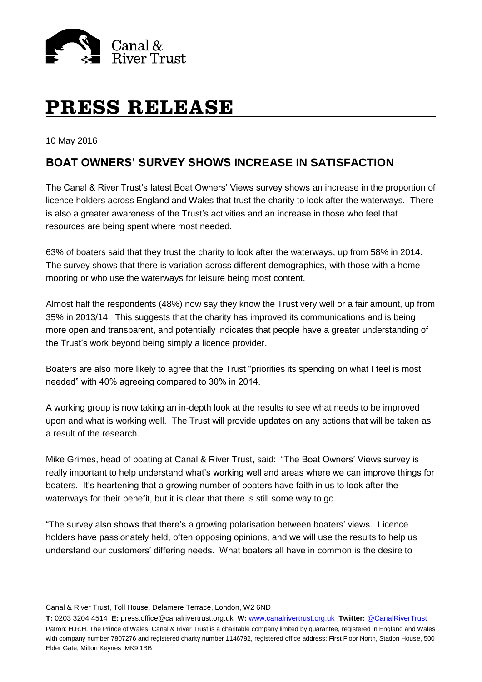

# **PRESS RELEASE**

10 May 2016

# **BOAT OWNERS' SURVEY SHOWS INCREASE IN SATISFACTION**

The Canal & River Trust's latest Boat Owners' Views survey shows an increase in the proportion of licence holders across England and Wales that trust the charity to look after the waterways. There is also a greater awareness of the Trust's activities and an increase in those who feel that resources are being spent where most needed.

63% of boaters said that they trust the charity to look after the waterways, up from 58% in 2014. The survey shows that there is variation across different demographics, with those with a home mooring or who use the waterways for leisure being most content.

Almost half the respondents (48%) now say they know the Trust very well or a fair amount, up from 35% in 2013/14. This suggests that the charity has improved its communications and is being more open and transparent, and potentially indicates that people have a greater understanding of the Trust's work beyond being simply a licence provider.

Boaters are also more likely to agree that the Trust "priorities its spending on what I feel is most needed" with 40% agreeing compared to 30% in 2014.

A working group is now taking an in-depth look at the results to see what needs to be improved upon and what is working well. The Trust will provide updates on any actions that will be taken as a result of the research.

Mike Grimes, head of boating at Canal & River Trust, said: "The Boat Owners' Views survey is really important to help understand what's working well and areas where we can improve things for boaters. It's heartening that a growing number of boaters have faith in us to look after the waterways for their benefit, but it is clear that there is still some way to go.

"The survey also shows that there's a growing polarisation between boaters' views. Licence holders have passionately held, often opposing opinions, and we will use the results to help us understand our customers' differing needs. What boaters all have in common is the desire to

Canal & River Trust, Toll House, Delamere Terrace, London, W2 6ND

**T:** 0203 3204 4514 **E:** press.office@canalrivertrust.org.uk **W:** [www.canalrivertrust.org.uk](http://www.canalrivertrust.org.uk/) **Twitter:** [@CanalRiverTrust](https://twitter.com/CanalRiverTrust) Patron: H.R.H. The Prince of Wales. Canal & River Trust is a charitable company limited by guarantee, registered in England and Wales with company number 7807276 and registered charity number 1146792, registered office address: First Floor North, Station House, 500 Elder Gate, Milton Keynes MK9 1BB